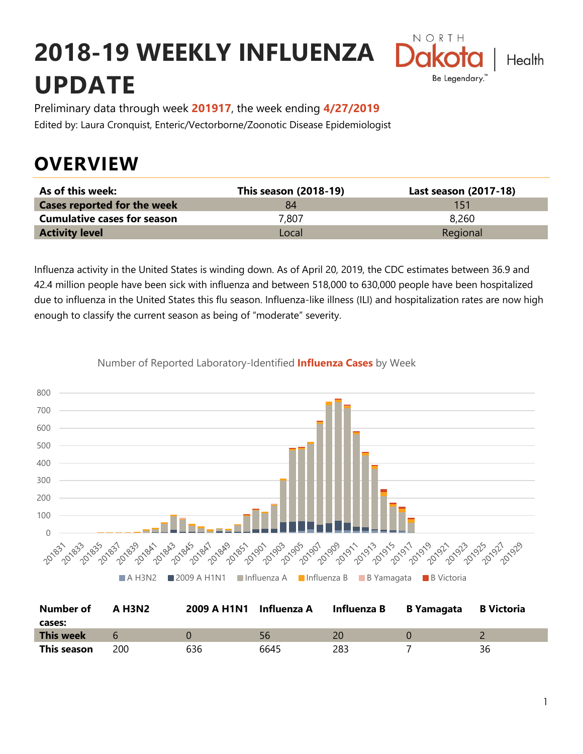# **2018-19 WEEKLY INFLUENZA UPDATE**



Preliminary data through week **201917**, the week ending **4/27/2019** Edited by: Laura Cronquist, Enteric/Vectorborne/Zoonotic Disease Epidemiologist

### **OVERVIEW**

| As of this week:                   | This season (2018-19) | Last season (2017-18) |
|------------------------------------|-----------------------|-----------------------|
| <b>Cases reported for the week</b> | 84                    | 151                   |
| <b>Cumulative cases for season</b> | 7.807                 | 8.260                 |
| <b>Activity level</b>              | Local                 | Regional              |

Influenza activity in the United States is winding down. As of April 20, 2019, the CDC estimates between 36.9 and 42.4 million people have been sick with influenza and between 518,000 to 630,000 people have been hospitalized due to influenza in the United States this flu season. Influenza-like illness (ILI) and hospitalization rates are now high enough to classify the current season as being of "moderate" severity.



Number of Reported Laboratory-Identified **Influenza Cases** by Week

| Number of<br>cases: | A H3N2 | 2009 A H1N1 Influenza A |      | Influenza B | B Yamagata | <b>B</b> Victoria |
|---------------------|--------|-------------------------|------|-------------|------------|-------------------|
| <b>This week</b>    |        |                         | 56   |             |            |                   |
| This season         | 200    | 636                     | 6645 | 283         |            | 36                |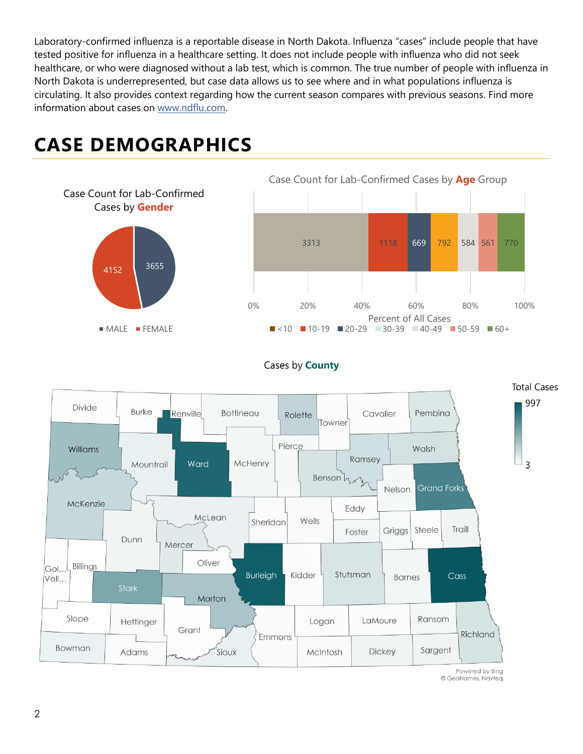Laboratory-confirmed influenza is a reportable disease in North Dakota. Influenza "cases" include people that have tested positive for influenza in a healthcare setting. It does not include people with influenza who did not seek healthcare, or who were diagnosed without a lab test, which is common. The true number of people with influenza in North Dakota is underrepresented, but case data allows us to see where and in what populations influenza is circulating. It also provides context regarding how the current season compares with previous seasons. Find more information about cases on [www.ndflu.com.](file://///nd.gov/doh/DOH-DATA/MSS/DC/PROGRAM/IMMUNE/Immunize/Influenza/Inf18-19/Surveillance/Weekly%20Summaries/www.ndflu.com)

#### <sup>3655</sup> <sup>4152</sup> Case Count for Lab-Confirmed Cases by **Gender MALE** FEMALE 3313 1118 669 792 584 561 770 0% 20% 40% 60% 80% 100% Percent of All Cases Case Count for Lab-Confirmed Cases by **Age** Group  $\blacksquare$  <10  $\blacksquare$  10-19  $\blacksquare$  20-29  $\blacksquare$  30-39  $\blacksquare$  40-49  $\blacksquare$  50-59  $\blacksquare$  60+

### **CASE DEMOGRAPHICS**





Powered by Bing © GeoNames, Navteq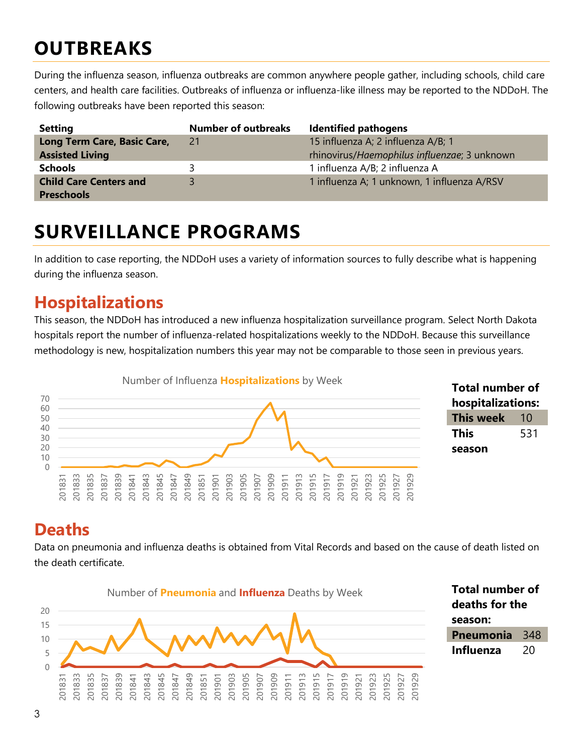### **OUTBREAKS**

During the influenza season, influenza outbreaks are common anywhere people gather, including schools, child care centers, and health care facilities. Outbreaks of influenza or influenza-like illness may be reported to the NDDoH. The following outbreaks have been reported this season:

| <b>Setting</b>                | <b>Number of outbreaks</b> | <b>Identified pathogens</b>                  |
|-------------------------------|----------------------------|----------------------------------------------|
| Long Term Care, Basic Care,   | 21                         | 15 influenza A; 2 influenza A/B; 1           |
| <b>Assisted Living</b>        |                            | rhinovirus/Haemophilus influenzae; 3 unknown |
| <b>Schools</b>                |                            | 1 influenza A/B; 2 influenza A               |
| <b>Child Care Centers and</b> |                            | 1 influenza A; 1 unknown, 1 influenza A/RSV  |
| <b>Preschools</b>             |                            |                                              |

### **SURVEILLANCE PROGRAMS**

In addition to case reporting, the NDDoH uses a variety of information sources to fully describe what is happening during the influenza season.

#### **Hospitalizations**

This season, the NDDoH has introduced a new influenza hospitalization surveillance program. Select North Dakota hospitals report the number of influenza-related hospitalizations weekly to the NDDoH. Because this surveillance methodology is new, hospitalization numbers this year may not be comparable to those seen in previous years.



#### **Total number of hospitalizations: This week** 10 **This season**

#### **Deaths**

Data on pneumonia and influenza deaths is obtained from Vital Records and based on the cause of death listed on the death certificate.

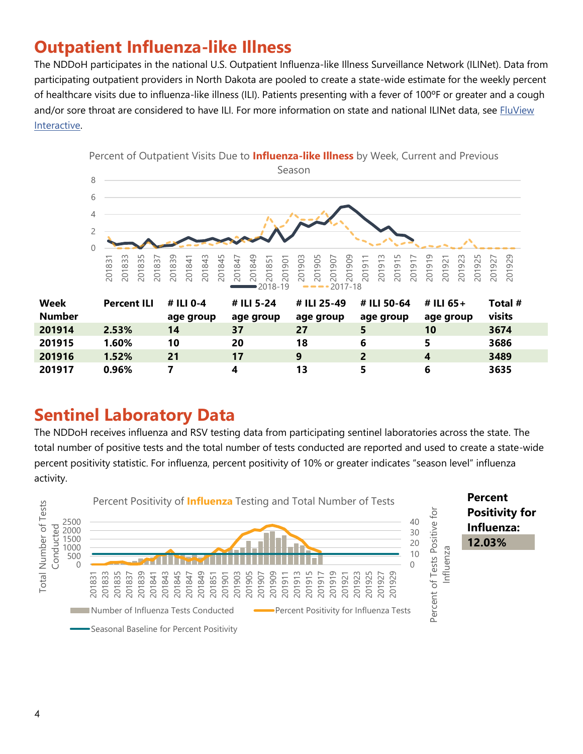#### **Outpatient Influenza-like Illness**

The NDDoH participates in the national U.S. Outpatient Influenza-like Illness Surveillance Network (ILINet). Data from participating outpatient providers in North Dakota are pooled to create a state-wide estimate for the weekly percent of healthcare visits due to influenza-like illness (ILI). Patients presenting with a fever of 100ºF or greater and a cough and/or sore throat are considered to have ILI. For more information on state and national ILINet data, see FluView [Interactive.](https://gis.cdc.gov/grasp/fluview/fluportaldashboard.html)



#### **Sentinel Laboratory Data**

The NDDoH receives influenza and RSV testing data from participating sentinel laboratories across the state. The total number of positive tests and the total number of tests conducted are reported and used to create a state-wide percent positivity statistic. For influenza, percent positivity of 10% or greater indicates "season level" influenza activity.

 **1.52% 21 17 9 2 4 3489 0.96% 7 4 13 5 6 3635**

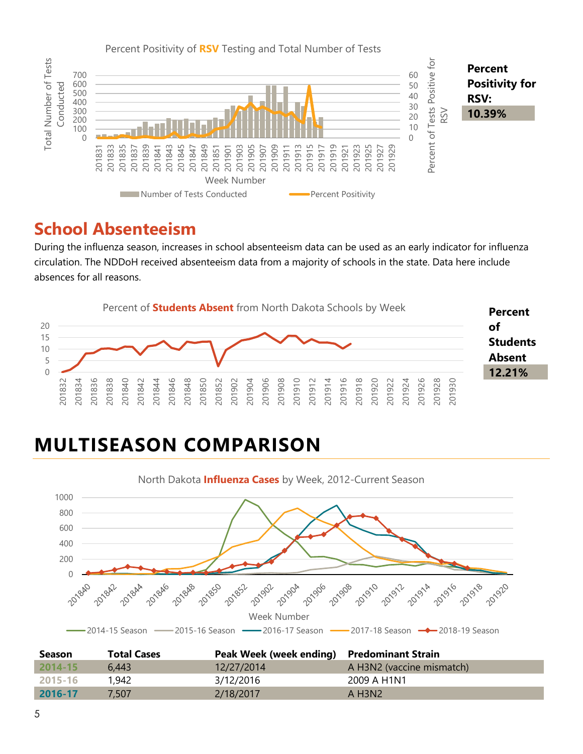

#### **School Absenteeism**

During the influenza season, increases in school absenteeism data can be used as an early indicator for influenza circulation. The NDDoH received absenteeism data from a majority of schools in the state. Data here include absences for all reasons.



## **MULTISEASON COMPARISON**



| <b>Season</b> | <b>Total Cases</b> | Peak Week (week ending) Predominant Strain |                                   |
|---------------|--------------------|--------------------------------------------|-----------------------------------|
| 2014-15       | 6.443              | 12/27/2014                                 | A H3N2 (vaccine mismatch)         |
| 2015-16       | 1,942              | 3/12/2016                                  | 2009 A H1N1                       |
| 2016-17       | 7.507              | 2/18/2017                                  | $A$ H <sub>3</sub> N <sub>2</sub> |